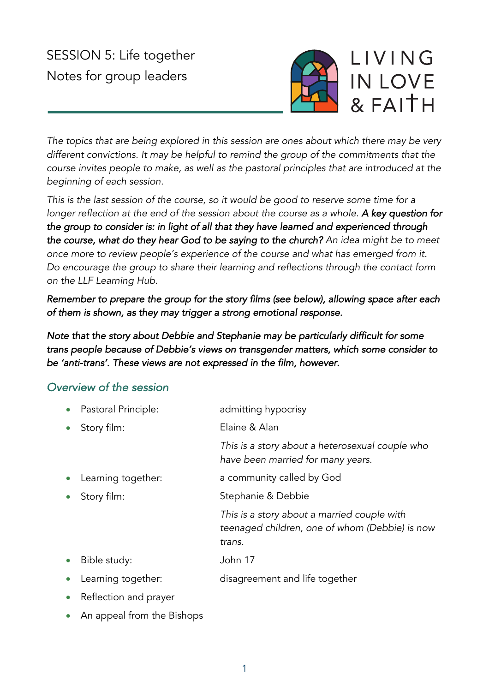# SESSION 5: Life together Notes for group leaders



*The topics that are being explored in this session are ones about which there may be very different convictions. It may be helpful to remind the group of the commitments that the course invites people to make, as well as the pastoral principles that are introduced at the beginning of each session.*

*This is the last session of the course, so it would be good to reserve some time for a longer reflection at the end of the session about the course as a whole. A key question for the group to consider is: in light of all that they have learned and experienced through the course, what do they hear God to be saying to the church? An idea might be to meet once more to review people's experience of the course and what has emerged from it. Do encourage the group to share their learning and reflections through the contact form on the LLF Learning Hub.*

*Remember to prepare the group for the story films (see below), allowing space after each of them is shown, as they may trigger a strong emotional response.* 

*Note that the story about Debbie and Stephanie may be particularly difficult for some trans people because of Debbie's views on transgender matters, which some consider to be 'anti-trans'. These views are not expressed in the film, however.* 

# *Overview of the session*

| $\bullet$ | Pastoral Principle:   | admitting hypocrisy                                                                                     |
|-----------|-----------------------|---------------------------------------------------------------------------------------------------------|
| $\bullet$ | Story film:           | Elaine & Alan                                                                                           |
|           |                       | This is a story about a heterosexual couple who<br>have been married for many years.                    |
| $\bullet$ | Learning together:    | a community called by God                                                                               |
| $\bullet$ | Story film:           | Stephanie & Debbie                                                                                      |
|           |                       | This is a story about a married couple with<br>teenaged children, one of whom (Debbie) is now<br>trans. |
| $\bullet$ | Bible study:          | John 17                                                                                                 |
| $\bullet$ | Learning together:    | disagreement and life together                                                                          |
| $\bullet$ | Reflection and prayer |                                                                                                         |
|           |                       |                                                                                                         |

• An appeal from the Bishops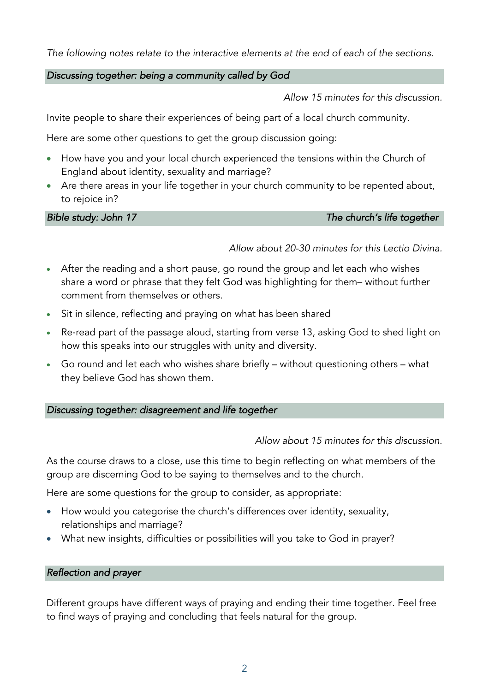#### *The following notes relate to the interactive elements at the end of each of the sections.*

#### *Discussing together: being a community called by God*

*Allow 15 minutes for this discussion.*

Invite people to share their experiences of being part of a local church community.

Here are some other questions to get the group discussion going:

- How have you and your local church experienced the tensions within the Church of England about identity, sexuality and marriage?
- Are there areas in your life together in your church community to be repented about, to rejoice in?

#### *Bible study: John 17 The church's life together*

*Allow about 20-30 minutes for this Lectio Divina.*

- After the reading and a short pause, go round the group and let each who wishes share a word or phrase that they felt God was highlighting for them– without further comment from themselves or others.
- Sit in silence, reflecting and praying on what has been shared
- Re-read part of the passage aloud, starting from verse 13, asking God to shed light on how this speaks into our struggles with unity and diversity.
- Go round and let each who wishes share briefly without questioning others what they believe God has shown them.

#### *Discussing together: disagreement and life together*

#### *Allow about 15 minutes for this discussion.*

As the course draws to a close, use this time to begin reflecting on what members of the group are discerning God to be saying to themselves and to the church.

Here are some questions for the group to consider, as appropriate:

- How would you categorise the church's differences over identity, sexuality, relationships and marriage?
- What new insights, difficulties or possibilities will you take to God in prayer?

#### *Reflection and prayer*

Different groups have different ways of praying and ending their time together. Feel free to find ways of praying and concluding that feels natural for the group.